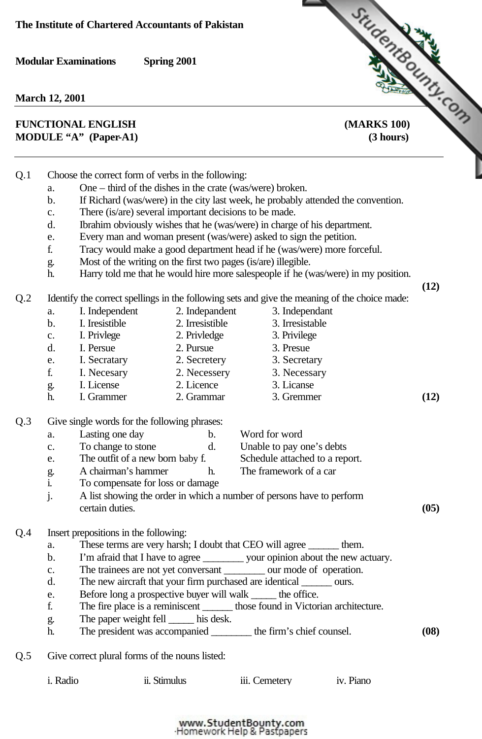**March 12, 2001**

## Modular Examinations Spring 2001<br>
March 12, 2001<br> **FUNCTIONAL ENGLISH** [\(MARKS 100\)](http://www.studentbounty.com/)<br>
<sup>(3 hours)</sub></sup> **MODULE "A" (Paper-A1) (3 hours)**

- Q.1 Choose the correct form of verbs in the following:
	- a. One third of the dishes in the crate (was/were) broken.
	- b. If Richard (was/were) in the city last week, he probably attended the convention.
	- c. There (is/are) several important decisions to be made.
	- d. Ibrahim obviously wishes that he (was/were) in charge of his department.
	- e. Every man and woman present (was/were) asked to sign the petition.
	- f. Tracy would make a good department head if he (was/were) more forceful.
	- g. Most of the writing on the first two pages (is/are) illegible.
	- h. Harry told me that he would hire more salespeople if he (was/were) in my position.

 **(12)**

Q.2 Identify the correct spellings in the following sets and give the meaning of the choice made:

| a.            | I. Independent | 2. Indepandent  | 3. Independant  |      |
|---------------|----------------|-----------------|-----------------|------|
| b.            | I. Iresistible | 2. Irresistible | 3. Irresistable |      |
| $C_{\bullet}$ | I. Privlege    | 2. Privledge    | 3. Privilege    |      |
| d.            | I. Persue      | 2. Pursue       | 3. Presue       |      |
| e.            | I. Secratary   | 2. Secretery    | 3. Secretary    |      |
| f.            | I. Necesary    | 2. Necessery    | 3. Necessary    |      |
| g.            | I. License     | 2. Licence      | 3. Licanse      |      |
| h.            | I. Grammer     | 2. Grammar      | 3. Gremmer      | (12) |

## Q.3 Give single words for the following phrases:

|     | a.               | Lasting one day                                                       | $\mathbf b$ . | Word for word                                                                   |      |
|-----|------------------|-----------------------------------------------------------------------|---------------|---------------------------------------------------------------------------------|------|
|     | $C_{\bullet}$    | To change to stone                                                    | d.            | Unable to pay one's debts                                                       |      |
|     | e.               | The outfit of a new born baby f.                                      |               | Schedule attached to a report.                                                  |      |
|     |                  | A chairman's hammer                                                   | h.            | The framework of a car                                                          |      |
|     | g.<br><i>i</i> . | To compensate for loss or damage.                                     |               |                                                                                 |      |
|     | j.               | certain duties.                                                       |               | A list showing the order in which a number of persons have to perform           | (05) |
| Q.4 |                  | Insert prepositions in the following:                                 |               |                                                                                 |      |
|     | a.               |                                                                       |               | These terms are very harsh; I doubt that CEO will agree _______ them.           |      |
|     | $\mathbf b$ .    |                                                                       |               | I'm afraid that I have to agree ___________ your opinion about the new actuary. |      |
|     | $\mathbf{c}$ .   |                                                                       |               | The trainees are not yet conversant <u>seem</u> our mode of operation.          |      |
|     | d.               | The new aircraft that your firm purchased are identical _______ ours. |               |                                                                                 |      |
|     | e.               | Before long a prospective buyer will walk ______ the office.          |               |                                                                                 |      |
|     | f.               |                                                                       |               | The fire place is a reminiscent ________ those found in Victorian architecture. |      |
|     | g.               | The paper weight fell ______ his desk.                                |               |                                                                                 |      |

- h. The president was accompanied \_\_\_\_\_\_\_\_ the firm's chief counsel. **(08)**
- Q.5 Give correct plural forms of the nouns listed:

| iii. Cemetery<br>i. Radio<br>ii. Stimulus | iv. Piano |
|-------------------------------------------|-----------|
|-------------------------------------------|-----------|

## www.StudentBounty.com<br>Homework Help & Pastpapers